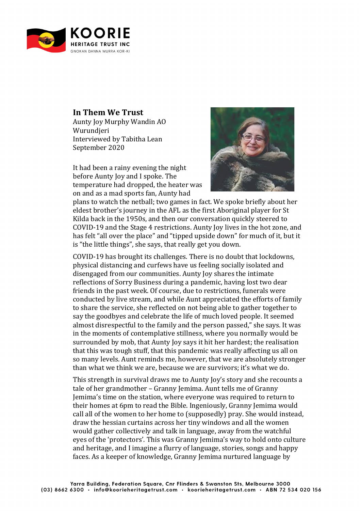

## **In Them We Trust**

Aunty Joy Murphy Wandin AO Wurundieri Interviewed by Tabitha Lean September 2020

It had been a rainy evening the night before Aunty Iov and I spoke. The temperature had dropped, the heater was on and as a mad sports fan, Aunty had



plans to watch the netball; two games in fact. We spoke briefly about her eldest brother's journey in the AFL as the first Aboriginal player for St Kilda back in the 1950s, and then our conversation quickly steered to COVID-19 and the Stage 4 restrictions. Aunty Joy lives in the hot zone, and has felt "all over the place" and "tipped upside down" for much of it, but it is "the little things", she says, that really get you down.

COVID-19 has brought its challenges. There is no doubt that lockdowns, physical distancing and curfews have us feeling socially isolated and disengaged from our communities. Aunty Joy shares the intimate reflections of Sorry Business during a pandemic, having lost two dear friends in the past week. Of course, due to restrictions, funerals were conducted by live stream, and while Aunt appreciated the efforts of family to share the service, she reflected on not being able to gather together to say the goodbyes and celebrate the life of much loved people. It seemed almost disrespectful to the family and the person passed," she says. It was in the moments of contemplative stillness, where you normally would be surrounded by mob, that Aunty Joy says it hit her hardest; the realisation that this was tough stuff, that this pandemic was really affecting us all on so many levels. Aunt reminds me, however, that we are absolutely stronger than what we think we are, because we are survivors; it's what we do.

This strength in survival draws me to Aunty Joy's story and she recounts a tale of her grandmother - Granny Jemima. Aunt tells me of Granny Jemima's time on the station, where everyone was required to return to their homes at 6pm to read the Bible. Ingeniously, Granny Jemima would call all of the women to her home to (supposedly) pray. She would instead, draw the hessian curtains across her tiny windows and all the women would gather collectively and talk in language, away from the watchful eyes of the 'protectors'. This was Granny Jemima's way to hold onto culture and heritage, and I imagine a flurry of language, stories, songs and happy faces. As a keeper of knowledge, Granny Jemima nurtured language by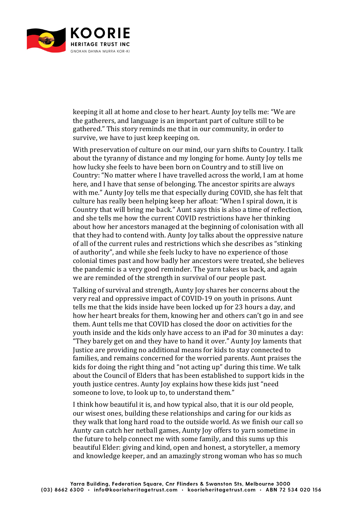

keeping it all at home and close to her heart. Aunty loy tells me: "We are the gatherers, and language is an important part of culture still to be gathered." This story reminds me that in our community, in order to survive, we have to just keep keeping on.

With preservation of culture on our mind, our varn shifts to Country. I talk about the tyranny of distance and my longing for home. Aunty loy tells me how lucky she feels to have been born on Country and to still live on Country: "No matter where I have travelled across the world, I am at home here, and I have that sense of belonging. The ancestor spirits are always with me." Aunty Joy tells me that especially during COVID, she has felt that culture has really been helping keep her afloat: "When I spiral down, it is Country that will bring me back." Aunt says this is also a time of reflection, and she tells me how the current COVID restrictions have her thinking about how her ancestors managed at the beginning of colonisation with all that they had to contend with. Aunty Joy talks about the oppressive nature of all of the current rules and restrictions which she describes as "stinking" of authority", and while she feels lucky to have no experience of those colonial times past and how badly her ancestors were treated, she believes the pandemic is a very good reminder. The varn takes us back, and again we are reminded of the strength in survival of our people past.

Talking of survival and strength, Aunty Joy shares her concerns about the very real and oppressive impact of COVID-19 on youth in prisons. Aunt tells me that the kids inside have been locked up for 23 hours a day, and how her heart breaks for them, knowing her and others can't go in and see them. Aunt tells me that COVID has closed the door on activities for the youth inside and the kids only have access to an iPad for 30 minutes a day: "They barely get on and they have to hand it over." Aunty Joy laments that Justice are providing no additional means for kids to stay connected to families, and remains concerned for the worried parents. Aunt praises the kids for doing the right thing and "not acting up" during this time. We talk about the Council of Elders that has been established to support kids in the youth justice centres. Aunty Joy explains how these kids just "need someone to love, to look up to, to understand them."

I think how beautiful it is, and how typical also, that it is our old people, our wisest ones, building these relationships and caring for our kids as they walk that long hard road to the outside world. As we finish our call so Aunty can catch her netball games, Aunty Joy offers to yarn sometime in the future to help connect me with some family, and this sums up this beautiful Elder: giving and kind, open and honest, a storyteller, a memory and knowledge keeper, and an amazingly strong woman who has so much